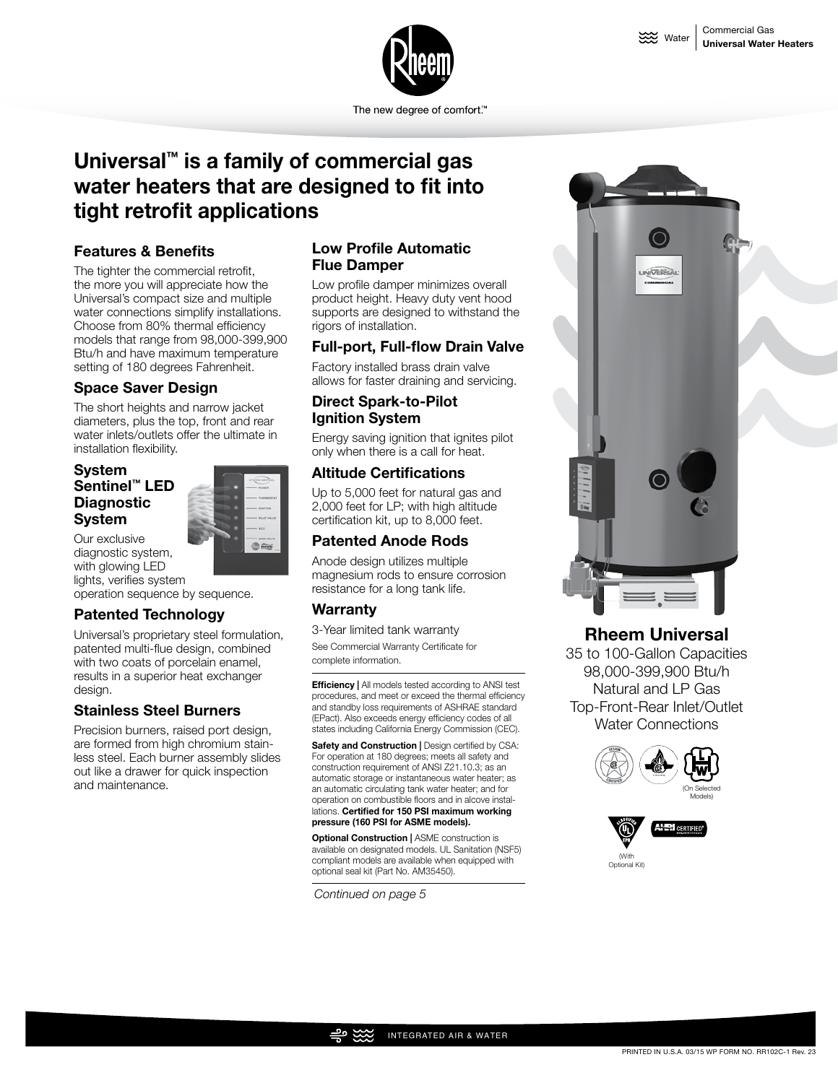

The new degree of comfort.<sup>™</sup>

# **Universal™ is a family of commercial gas water heaters that are designed to fit into tight retrofit applications**

# **Features & Benefits**

The tighter the commercial retrofit, the more you will appreciate how the Universal's compact size and multiple water connections simplify installations. Choose from 80% thermal efficiency models that range from 98,000-399,900 Btu/h and have maximum temperature setting of 180 degrees Fahrenheit.

## **Space Saver Design**

The short heights and narrow jacket diameters, plus the top, front and rear water inlets/outlets offer the ultimate in installation flexibility.

#### **System Sentinel™ LED Diagnostic System**

Our exclusive diagnostic system, with glowing LED lights, verifies system

operation sequence by sequence.

#### **Patented Technology**

Universal's proprietary steel formulation, patented multi-flue design, combined with two coats of porcelain enamel, results in a superior heat exchanger design.

#### **Stainless Steel Burners**

Precision burners, raised port design, are formed from high chromium stainless steel. Each burner assembly slides out like a drawer for quick inspection and maintenance.

#### **Low Profile Automatic Flue Damper**

Low profile damper minimizes overall product height. Heavy duty vent hood supports are designed to withstand the rigors of installation.

#### **Full-port, Full-flow Drain Valve**

Factory installed brass drain valve allows for faster draining and servicing.

## **Direct Spark-to-Pilot Ignition System**

Energy saving ignition that ignites pilot only when there is a call for heat.

#### **Altitude Certifications**

Up to 5,000 feet for natural gas and 2,000 feet for LP; with high altitude certification kit, up to 8,000 feet.

## **Patented Anode Rods**

Anode design utilizes multiple magnesium rods to ensure corrosion resistance for a long tank life.

#### **Warranty**

3-Year limited tank warranty

See Commercial Warranty Certificate for complete information.

**Efficiency** | All models tested according to ANSI test procedures, and meet or exceed the thermal efficiency and standby loss requirements of ASHRAE standard (EPact). Also exceeds energy efficiency codes of all states including California Energy Commission (CEC).

Safety and Construction | Design certified by CSA: For operation at 180 degrees; meets all safety and construction requirement of ANSI Z21.10.3; as an automatic storage or instantaneous water heater; as an automatic circulating tank water heater; and for operation on combustible floors and in alcove installations. **Certified for 150 PSI maximum working pressure (160 PSI for ASME models).**

**Optional Construction | ASME construction is** available on designated models. UL Sanitation (NSF5) compliant models are available when equipped with optional seal kit (Part No. AM35450).

*Continued on page 5*



# **Rheem Universal**

35 to 100-Gallon Capacities 98,000-399,900 Btu/h Natural and LP Gas Top-Front-Rear Inlet/Outlet Water Connections





(With Optional Kit)

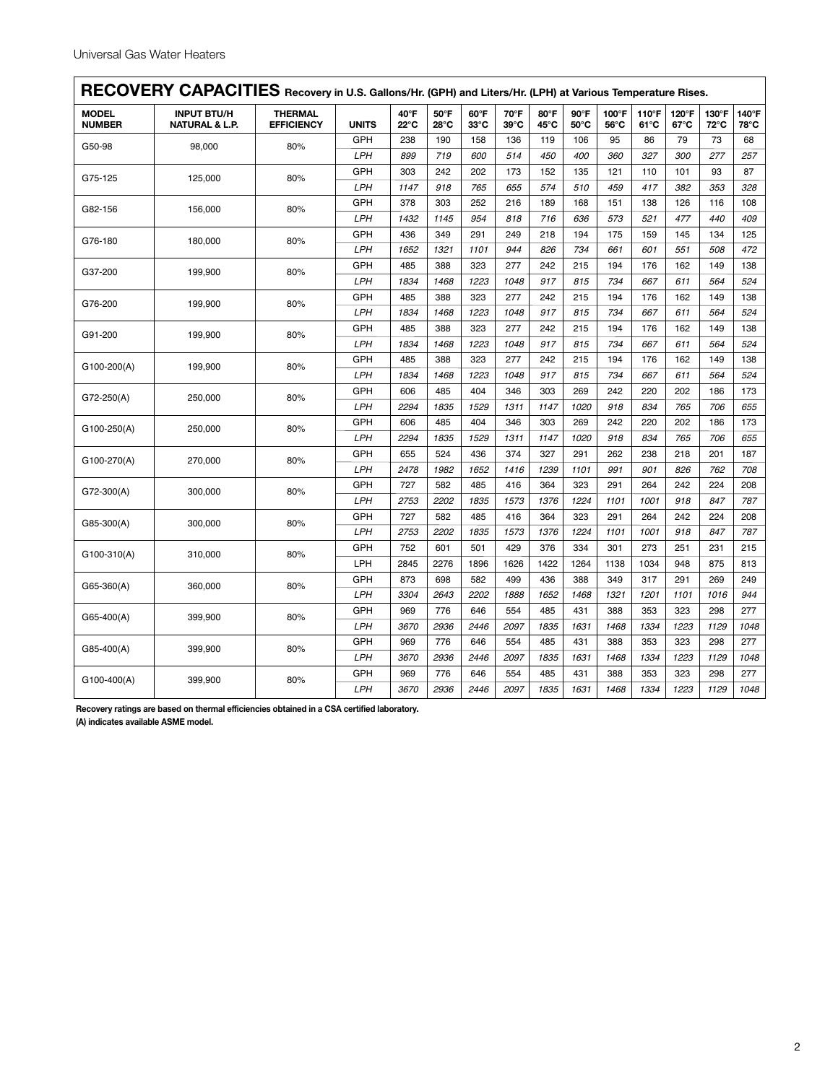| RECOVERY CAPACITIES Recovery in U.S. Gallons/Hr. (GPH) and Liters/Hr. (LPH) at Various Temperature Rises. |                                                 |                                     |            |                        |                        |              |              |              |                      |               |                         |               |                                                                                                                                                                                                                           |               |
|-----------------------------------------------------------------------------------------------------------|-------------------------------------------------|-------------------------------------|------------|------------------------|------------------------|--------------|--------------|--------------|----------------------|---------------|-------------------------|---------------|---------------------------------------------------------------------------------------------------------------------------------------------------------------------------------------------------------------------------|---------------|
| <b>MODEL</b><br><b>NUMBER</b>                                                                             | <b>INPUT BTU/H</b><br><b>NATURAL &amp; L.P.</b> | <b>THERMAL</b><br><b>EFFICIENCY</b> | UNITS      | 40°F<br>$22^{\circ}$ C | 50°F<br>$28^{\circ}$ C | 60°F<br>33°C | 70°F<br>39°C | 80°F<br>45°C | $90^\circ F$<br>50°C | 100°F<br>56°C | 110°F<br>$61^{\circ}$ C | 120°F<br>67°C | 130°F<br>72°C                                                                                                                                                                                                             | 140°F<br>78°C |
| G50-98                                                                                                    | 98,000                                          | 80%                                 | GPH        | 238                    | 190                    | 158          | 136          | 119          | 106                  | 95            | 86                      | 79            | 73                                                                                                                                                                                                                        | 68            |
|                                                                                                           |                                                 |                                     | <b>LPH</b> | 899                    | 719                    | 600          | 514          | 450          | 400                  | 360           | 327                     | 300           | 277                                                                                                                                                                                                                       | 257           |
| G75-125                                                                                                   | 125,000                                         | 80%                                 | GPH        | 303                    | 242                    | 202          | 173          | 152          | 135                  | 121           | 110                     | 101           | 93                                                                                                                                                                                                                        | 87            |
|                                                                                                           |                                                 |                                     | <b>LPH</b> | 1147                   | 918                    | 765          | 655          | 574          | 510                  | 459           | 417                     | 382           | 353                                                                                                                                                                                                                       | 328           |
| G82-156                                                                                                   | 156,000                                         | 80%                                 | GPH        | 378                    | 303                    | 252          | 216          | 189          | 168                  | 151           | 138                     | 126           | 116                                                                                                                                                                                                                       | 108           |
|                                                                                                           |                                                 |                                     | <b>LPH</b> | 1432                   | 1145                   | 954          | 818          | 716          | 636                  | 573           | 521                     | 477           | 440<br>134<br>508<br>149<br>564<br>149<br>564<br>149<br>564<br>149<br>564<br>186<br>706<br>186<br>706<br>201<br>762<br>224<br>847<br>224<br>847<br>231<br>875<br>269<br>1016<br>298<br>1129<br>298<br>1129<br>298<br>1129 | 409           |
| G76-180                                                                                                   | 180,000                                         | 80%                                 | GPH        | 436                    | 349                    | 291          | 249          | 218          | 194                  | 175           | 159                     | 145           |                                                                                                                                                                                                                           | 125           |
|                                                                                                           |                                                 |                                     | LPH        | 1652                   | 1321                   | 1101         | 944          | 826          | 734                  | 661           | 601                     | 551           |                                                                                                                                                                                                                           | 472           |
| G37-200                                                                                                   | 199,900                                         | 80%                                 | GPH        | 485                    | 388                    | 323          | 277          | 242          | 215                  | 194           | 176                     | 162           |                                                                                                                                                                                                                           | 138           |
|                                                                                                           |                                                 |                                     | <b>LPH</b> | 1834                   | 1468                   | 1223         | 1048         | 917          | 815                  | 734           | 667                     | 611           |                                                                                                                                                                                                                           | 524           |
| G76-200                                                                                                   | 199,900                                         | 80%                                 | GPH        | 485                    | 388                    | 323          | 277          | 242          | 215                  | 194           | 176                     | 162           |                                                                                                                                                                                                                           | 138           |
|                                                                                                           |                                                 |                                     | <b>LPH</b> | 1834                   | 1468                   | 1223         | 1048         | 917          | 815                  | 734           | 667                     | 611           |                                                                                                                                                                                                                           | 524           |
| G91-200                                                                                                   | 199,900                                         | 80%                                 | GPH        | 485                    | 388                    | 323          | 277          | 242          | 215                  | 194           | 176                     | 162           |                                                                                                                                                                                                                           | 138           |
|                                                                                                           |                                                 |                                     | <b>LPH</b> | 1834                   | 1468                   | 1223         | 1048         | 917          | 815                  | 734           | 667                     | 611           |                                                                                                                                                                                                                           | 524           |
| $G100-200(A)$                                                                                             | 199,900                                         | 80%                                 | GPH        | 485                    | 388                    | 323          | 277          | 242          | 215                  | 194           | 176                     | 162           |                                                                                                                                                                                                                           | 138           |
|                                                                                                           |                                                 |                                     | <b>LPH</b> | 1834                   | 1468                   | 1223         | 1048         | 917          | 815                  | 734           | 667                     | 611           |                                                                                                                                                                                                                           | 524           |
| $G72-250(A)$                                                                                              | 250,000                                         | 80%                                 | GPH        | 606                    | 485                    | 404          | 346          | 303          | 269                  | 242           | 220                     | 202           |                                                                                                                                                                                                                           | 173           |
|                                                                                                           |                                                 |                                     | <b>LPH</b> | 2294                   | 1835                   | 1529         | 1311         | 1147         | 1020                 | 918           | 834                     | 765           |                                                                                                                                                                                                                           | 655           |
| $G100-250(A)$                                                                                             | 250,000                                         | 80%                                 | GPH        | 606                    | 485                    | 404          | 346          | 303          | 269                  | 242           | 220                     | 202           |                                                                                                                                                                                                                           | 173           |
|                                                                                                           |                                                 |                                     | <b>LPH</b> | 2294                   | 1835                   | 1529         | 1311         | 1147         | 1020                 | 918           | 834                     | 765           |                                                                                                                                                                                                                           | 655           |
| $G100-270(A)$                                                                                             | 270,000                                         | 80%                                 | GPH        | 655                    | 524                    | 436          | 374          | 327          | 291                  | 262           | 238                     | 218           |                                                                                                                                                                                                                           | 187           |
|                                                                                                           |                                                 |                                     | <b>LPH</b> | 2478                   | 1982                   | 1652         | 1416         | 1239         | 1101                 | 991           | 901                     | 826           |                                                                                                                                                                                                                           | 708           |
| $G72-300(A)$                                                                                              | 300,000                                         | 80%                                 | GPH        | 727                    | 582                    | 485          | 416          | 364          | 323                  | 291           | 264                     | 242           |                                                                                                                                                                                                                           | 208           |
|                                                                                                           |                                                 |                                     | LPH        | 2753                   | 2202                   | 1835         | 1573         | 1376         | 1224                 | 1101          | 1001                    | 918           |                                                                                                                                                                                                                           | 787           |
| $G85-300(A)$                                                                                              | 300,000                                         | 80%                                 | GPH        | 727                    | 582                    | 485          | 416          | 364          | 323                  | 291           | 264                     | 242           |                                                                                                                                                                                                                           | 208           |
|                                                                                                           |                                                 |                                     | <b>LPH</b> | 2753                   | 2202                   | 1835         | 1573         | 1376         | 1224                 | 1101          | 1001                    | 918           |                                                                                                                                                                                                                           | 787           |
| $G100-310(A)$                                                                                             | 310,000                                         | 80%                                 | GPH        | 752                    | 601                    | 501          | 429          | 376          | 334                  | 301           | 273                     | 251           |                                                                                                                                                                                                                           | 215           |
|                                                                                                           |                                                 |                                     | LPH        | 2845                   | 2276                   | 1896         | 1626         | 1422         | 1264                 | 1138          | 1034                    | 948           |                                                                                                                                                                                                                           | 813           |
| $G65-360(A)$                                                                                              | 360,000                                         | 80%                                 | GPH        | 873                    | 698                    | 582          | 499          | 436          | 388                  | 349           | 317                     | 291           |                                                                                                                                                                                                                           | 249           |
|                                                                                                           |                                                 |                                     | <b>LPH</b> | 3304                   | 2643                   | 2202         | 1888         | 1652         | 1468                 | 1321          | 1201                    | 1101          |                                                                                                                                                                                                                           | 944           |
| $G65-400(A)$                                                                                              | 399,900                                         | 80%                                 | GPH        | 969                    | 776                    | 646          | 554          | 485          | 431                  | 388           | 353                     | 323           |                                                                                                                                                                                                                           | 277           |
|                                                                                                           |                                                 |                                     | LPH        | 3670                   | 2936                   | 2446         | 2097         | 1835         | 1631                 | 1468          | 1334                    | 1223          |                                                                                                                                                                                                                           | 1048          |
| $G85-400(A)$                                                                                              | 399,900                                         | 80%                                 | GPH        | 969                    | 776                    | 646          | 554          | 485          | 431                  | 388           | 353                     | 323           |                                                                                                                                                                                                                           | 277           |
|                                                                                                           |                                                 |                                     | LPH        | 3670                   | 2936                   | 2446         | 2097         | 1835         | 1631                 | 1468          | 1334                    | 1223          |                                                                                                                                                                                                                           | 1048          |
| $G100-400(A)$                                                                                             | 399.900                                         | 80%                                 | GPH        | 969                    | 776                    | 646          | 554          | 485          | 431                  | 388           | 353                     | 323           |                                                                                                                                                                                                                           | 277           |
|                                                                                                           |                                                 |                                     | <b>LPH</b> | 3670                   | 2936                   | 2446         | 2097         | 1835         | 1631                 | 1468          | 1334                    | 1223          |                                                                                                                                                                                                                           | 1048          |

**Recovery ratings are based on thermal efficiencies obtained in a CSA certified laboratory.** 

**(A) indicates available ASME model.**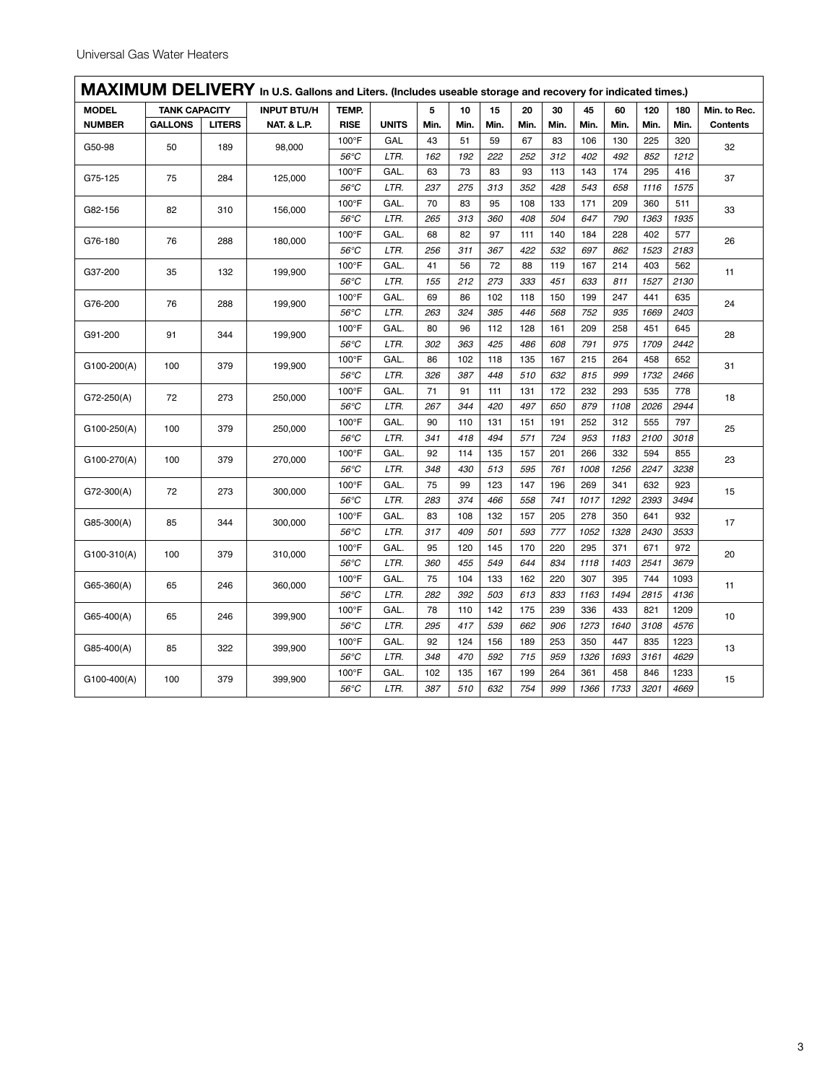| MAXIMUM DELIVERY In U.S. Gallons and Liters. (Includes useable storage and recovery for indicated times.) |                      |               |                        |                |              |      |      |      |      |      |      |      |      |      |                 |
|-----------------------------------------------------------------------------------------------------------|----------------------|---------------|------------------------|----------------|--------------|------|------|------|------|------|------|------|------|------|-----------------|
| <b>MODEL</b>                                                                                              | <b>TANK CAPACITY</b> |               | <b>INPUT BTU/H</b>     |                |              | 5    | 10   | 15   | 20   | 30   | 45   | 60   | 120  | 180  | Min. to Rec.    |
| <b>NUMBER</b>                                                                                             | <b>GALLONS</b>       | <b>LITERS</b> | <b>NAT. &amp; L.P.</b> | <b>RISE</b>    | <b>UNITS</b> | Min. | Min. | Min. | Min. | Min. | Min. | Min. | Min. | Min. | <b>Contents</b> |
| G50-98                                                                                                    | 50                   | 189           | 98,000                 | 100°F          | GAL          | 43   | 51   | 59   | 67   | 83   | 106  | 130  | 225  | 320  | 32              |
|                                                                                                           |                      |               |                        | $56^{\circ}$ C | LTR.         | 162  | 192  | 222  | 252  | 312  | 402  | 492  | 852  | 1212 |                 |
|                                                                                                           | 75                   | 284           |                        | 100°F          | GAL.         | 63   | 73   | 83   | 93   | 113  | 143  | 174  | 295  | 416  | 37              |
| G75-125                                                                                                   |                      |               | 125,000                | $56^{\circ}$ C | LTR.         | 237  | 275  | 313  | 352  | 428  | 543  | 658  | 1116 | 1575 |                 |
|                                                                                                           | 82                   | 310           |                        | 100°F          | GAL.         | 70   | 83   | 95   | 108  | 133  | 171  | 209  | 360  | 511  | 33              |
| G82-156                                                                                                   |                      |               | 156,000                | 56°C           | LTR.         | 265  | 313  | 360  | 408  | 504  | 647  | 790  | 1363 | 1935 |                 |
|                                                                                                           |                      |               |                        | 100°F          | GAL.         | 68   | 82   | 97   | 111  | 140  | 184  | 228  | 402  | 577  |                 |
| G76-180                                                                                                   | 76                   | 288           | 180,000                | $56^{\circ}$ C | LTR.         | 256  | 311  | 367  | 422  | 532  | 697  | 862  | 1523 | 2183 | 26              |
| G37-200                                                                                                   | 35                   | 132           | 199,900                | 100°F          | GAL.         | 41   | 56   | 72   | 88   | 119  | 167  | 214  | 403  | 562  | 11              |
|                                                                                                           |                      |               |                        | $56^{\circ}$ C | LTR.         | 155  | 212  | 273  | 333  | 451  | 633  | 811  | 1527 | 2130 |                 |
|                                                                                                           |                      | 288           |                        | 100°F          | GAL.         | 69   | 86   | 102  | 118  | 150  | 199  | 247  | 441  | 635  | 24              |
| G76-200                                                                                                   | 76                   |               | 199,900                | $56^{\circ}$ C | LTR.         | 263  | 324  | 385  | 446  | 568  | 752  | 935  | 1669 | 2403 |                 |
| G91-200<br>91                                                                                             |                      | 344           | 199,900                | 100°F          | GAL.         | 80   | 96   | 112  | 128  | 161  | 209  | 258  | 451  | 645  | 28              |
|                                                                                                           |                      |               |                        | 56°C           | LTR.         | 302  | 363  | 425  | 486  | 608  | 791  | 975  | 1709 | 2442 |                 |
| $G100-200(A)$<br>100                                                                                      |                      | 379           | 199,900                | 100°F          | GAL.         | 86   | 102  | 118  | 135  | 167  | 215  | 264  | 458  | 652  | 31              |
|                                                                                                           |                      |               |                        | $56^{\circ}$ C | LTR.         | 326  | 387  | 448  | 510  | 632  | 815  | 999  | 1732 | 2466 |                 |
| $G72-250(A)$                                                                                              | 72                   | 273           | 250,000                | 100°F          | GAL.         | 71   | 91   | 111  | 131  | 172  | 232  | 293  | 535  | 778  | 18              |
|                                                                                                           |                      |               |                        | $56^{\circ}$ C | LTR.         | 267  | 344  | 420  | 497  | 650  | 879  | 1108 | 2026 | 2944 |                 |
| $G100-250(A)$                                                                                             | 100                  | 379           | 250,000                | 100°F          | GAL.         | 90   | 110  | 131  | 151  | 191  | 252  | 312  | 555  | 797  | 25              |
|                                                                                                           |                      |               |                        | $56^{\circ}$ C | LTR.         | 341  | 418  | 494  | 571  | 724  | 953  | 1183 | 2100 | 3018 |                 |
| $G100-270(A)$                                                                                             | 100                  | 379           | 270,000                | 100°F          | GAL.         | 92   | 114  | 135  | 157  | 201  | 266  | 332  | 594  | 855  | 23              |
|                                                                                                           |                      |               |                        | $56^{\circ}$ C | LTR.         | 348  | 430  | 513  | 595  | 761  | 1008 | 1256 | 2247 | 3238 |                 |
| G72-300(A)                                                                                                | 72                   | 273           | 300,000                | 100°F          | GAL.         | 75   | 99   | 123  | 147  | 196  | 269  | 341  | 632  | 923  | 15              |
|                                                                                                           |                      |               |                        | $56^{\circ}$ C | LTR.         | 283  | 374  | 466  | 558  | 741  | 1017 | 1292 | 2393 | 3494 |                 |
| G85-300(A)                                                                                                | 85                   | 344           | 300,000                | 100°F          | GAL.         | 83   | 108  | 132  | 157  | 205  | 278  | 350  | 641  | 932  | 17              |
|                                                                                                           |                      |               |                        | 56°C           | LTR.         | 317  | 409  | 501  | 593  | 777  | 1052 | 1328 | 2430 | 3533 |                 |
| $G100-310(A)$                                                                                             | 100                  | 379           | 310,000                | 100°F          | GAL.         | 95   | 120  | 145  | 170  | 220  | 295  | 371  | 671  | 972  | 20              |
|                                                                                                           |                      |               |                        | $56^{\circ}$ C | LTR.         | 360  | 455  | 549  | 644  | 834  | 1118 | 1403 | 2541 | 3679 |                 |
| G65-360(A)                                                                                                | 65                   | 246           | 360,000                | 100°F          | GAL.         | 75   | 104  | 133  | 162  | 220  | 307  | 395  | 744  | 1093 | 11              |
|                                                                                                           |                      |               |                        | $56^{\circ}$ C | LTR.         | 282  | 392  | 503  | 613  | 833  | 1163 | 1494 | 2815 | 4136 |                 |
| G65-400(A)                                                                                                | 65                   | 246           | 399,900                | 100°F          | GAL.         | 78   | 110  | 142  | 175  | 239  | 336  | 433  | 821  | 1209 | 10              |
|                                                                                                           |                      |               |                        | $56^{\circ}$ C | LTR.         | 295  | 417  | 539  | 662  | 906  | 1273 | 1640 | 3108 | 4576 |                 |
| G85-400(A)                                                                                                | 85                   | 322           | 399,900                | 100°F          | GAL.         | 92   | 124  | 156  | 189  | 253  | 350  | 447  | 835  | 1223 | 13              |
|                                                                                                           |                      |               |                        | $56^{\circ}$ C | LTR.         | 348  | 470  | 592  | 715  | 959  | 1326 | 1693 | 3161 | 4629 |                 |
| $G100-400(A)$                                                                                             | 100                  |               | 399,900<br>379         | 100°F          | GAL.         | 102  | 135  | 167  | 199  | 264  | 361  | 458  | 846  | 1233 | 15              |
|                                                                                                           |                      |               |                        | 56°C           | LTR.         | 387  | 510  | 632  | 754  | 999  | 1366 | 1733 | 3201 | 4669 |                 |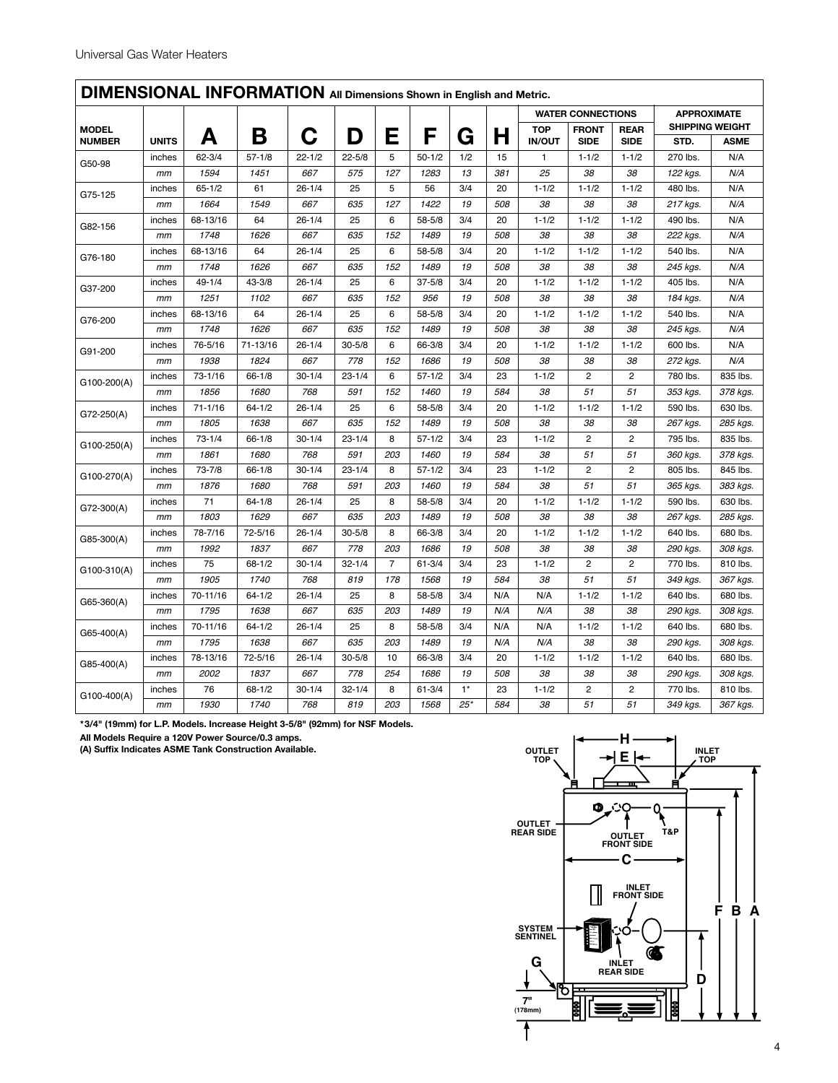| <b>DIMENSIONAL INFORMATION</b> All Dimensions Shown in English and Metric. |              |             |            |            |            |                |            |       |     |                          |                |                |                        |             |  |
|----------------------------------------------------------------------------|--------------|-------------|------------|------------|------------|----------------|------------|-------|-----|--------------------------|----------------|----------------|------------------------|-------------|--|
|                                                                            |              |             |            |            |            |                |            |       |     | <b>WATER CONNECTIONS</b> |                |                | <b>APPROXIMATE</b>     |             |  |
| <b>MODEL</b>                                                               |              |             |            | C          | D          |                | F          |       |     | <b>TOP</b>               | <b>FRONT</b>   | <b>REAR</b>    | <b>SHIPPING WEIGHT</b> |             |  |
| <b>NUMBER</b>                                                              | <b>UNITS</b> | А           | В          |            |            | Е              |            | G     | Н   | <b>IN/OUT</b>            | <b>SIDE</b>    | <b>SIDE</b>    | STD.                   | <b>ASME</b> |  |
| G50-98                                                                     | inches       | $62 - 3/4$  | $57 - 1/8$ | $22 - 1/2$ | $22 - 5/8$ | 5              | $50 - 1/2$ | 1/2   | 15  | $\mathbf{1}$             | $1 - 1/2$      | $1 - 1/2$      | 270 lbs.               | N/A         |  |
|                                                                            | mm           | 1594        | 1451       | 667        | 575        | 127            | 1283       | 13    | 381 | 25                       | 38             | 38             | 122 kgs.               | N/A         |  |
| G75-125                                                                    | inches       | $65 - 1/2$  | 61         | $26 - 1/4$ | 25         | 5              | 56         | 3/4   | 20  | $1 - 1/2$                | $1 - 1/2$      | $1 - 1/2$      | 480 lbs.               | N/A         |  |
|                                                                            | mm           | 1664        | 1549       | 667        | 635        | 127            | 1422       | 19    | 508 | 38                       | 38             | 38             | 217 kgs.               | N/A         |  |
| G82-156                                                                    | inches       | 68-13/16    | 64         | $26 - 1/4$ | 25         | 6              | $58 - 5/8$ | 3/4   | 20  | $1 - 1/2$                | $1 - 1/2$      | $1 - 1/2$      | 490 lbs.               | N/A         |  |
|                                                                            | mm           | 1748        | 1626       | 667        | 635        | 152            | 1489       | 19    | 508 | 38                       | 38             | 38             | 222 kgs.               | N/A         |  |
| G76-180                                                                    | inches       | 68-13/16    | 64         | $26 - 1/4$ | 25         | 6              | 58-5/8     | 3/4   | 20  | $1 - 1/2$                | $1 - 1/2$      | $1 - 1/2$      | 540 lbs.               | N/A         |  |
|                                                                            | mm           | 1748        | 1626       | 667        | 635        | 152            | 1489       | 19    | 508 | 38                       | 38             | 38             | 245 kgs.               | N/A         |  |
| G37-200                                                                    | inches       | $49 - 1/4$  | 43-3/8     | $26 - 1/4$ | 25         | 6              | $37 - 5/8$ | 3/4   | 20  | $1 - 1/2$                | $1 - 1/2$      | $1 - 1/2$      | 405 lbs.               | N/A         |  |
|                                                                            | mm           | 1251        | 1102       | 667        | 635        | 152            | 956        | 19    | 508 | 38                       | 38             | 38             | 184 kgs.               | N/A         |  |
| G76-200                                                                    | inches       | 68-13/16    | 64         | $26 - 1/4$ | 25         | 6              | 58-5/8     | 3/4   | 20  | $1 - 1/2$                | $1 - 1/2$      | $1 - 1/2$      | 540 lbs.               | N/A         |  |
|                                                                            | mm           | 1748        | 1626       | 667        | 635        | 152            | 1489       | 19    | 508 | 38                       | 38             | 38             | 245 kgs.               | N/A         |  |
| G91-200                                                                    | inches       | 76-5/16     | 71-13/16   | $26 - 1/4$ | $30 - 5/8$ | 6              | 66-3/8     | 3/4   | 20  | $1 - 1/2$                | $1 - 1/2$      | $1 - 1/2$      | 600 lbs.               | N/A         |  |
|                                                                            | mm           | 1938        | 1824       | 667        | 778        | 152            | 1686       | 19    | 508 | 38                       | 38             | 38             | 272 kgs.               | N/A         |  |
| G100-200(A)                                                                | inches       | 73-1/16     | $66 - 1/8$ | $30 - 1/4$ | $23 - 1/4$ | 6              | $57 - 1/2$ | 3/4   | 23  | $1 - 1/2$                | $\overline{c}$ | $\mathbf{2}$   | 780 lbs.               | 835 lbs.    |  |
|                                                                            | mm           | 1856        | 1680       | 768        | 591        | 152            | 1460       | 19    | 584 | 38                       | 51             | 51             | 353 kgs.               | 378 kgs.    |  |
| G72-250(A)                                                                 | inches       | $71 - 1/16$ | $64 - 1/2$ | $26 - 1/4$ | 25         | $6\phantom{1}$ | 58-5/8     | 3/4   | 20  | $1 - 1/2$                | $1 - 1/2$      | $1 - 1/2$      | 590 lbs.               | 630 lbs.    |  |
|                                                                            | mm           | 1805        | 1638       | 667        | 635        | 152            | 1489       | 19    | 508 | 38                       | 38             | 38             | 267 kgs.               | 285 kgs.    |  |
| G100-250(A)                                                                | inches       | $73 - 1/4$  | $66 - 1/8$ | $30 - 1/4$ | $23 - 1/4$ | 8              | $57 - 1/2$ | 3/4   | 23  | $1 - 1/2$                | $\overline{c}$ | $\sqrt{2}$     | 795 lbs.               | 835 lbs.    |  |
|                                                                            | mm           | 1861        | 1680       | 768        | 591        | 203            | 1460       | 19    | 584 | 38                       | 51             | 51             | 360 kgs.               | 378 kgs.    |  |
| G100-270(A)                                                                | inches       | 73-7/8      | $66 - 1/8$ | $30 - 1/4$ | $23 - 1/4$ | 8              | $57 - 1/2$ | 3/4   | 23  | $1 - 1/2$                | $\overline{c}$ | $\overline{2}$ | 805 lbs.               | 845 lbs.    |  |
|                                                                            | mm           | 1876        | 1680       | 768        | 591        | 203            | 1460       | 19    | 584 | 38                       | 51             | 51             | 365 kgs.               | 383 kgs.    |  |
| G72-300(A)                                                                 | inches       | 71          | $64 - 1/8$ | $26 - 1/4$ | 25         | 8              | 58-5/8     | 3/4   | 20  | $1 - 1/2$                | $1 - 1/2$      | $1 - 1/2$      | 590 lbs.               | 630 lbs.    |  |
|                                                                            | mm           | 1803        | 1629       | 667        | 635        | 203            | 1489       | 19    | 508 | 38                       | 38             | 38             | 267 kgs.               | 285 kgs.    |  |
| G85-300(A)                                                                 | inches       | 78-7/16     | 72-5/16    | $26 - 1/4$ | $30 - 5/8$ | 8              | 66-3/8     | 3/4   | 20  | $1 - 1/2$                | $1 - 1/2$      | $1 - 1/2$      | 640 lbs.               | 680 lbs.    |  |
|                                                                            | mm           | 1992        | 1837       | 667        | 778        | 203            | 1686       | 19    | 508 | 38                       | 38             | 38             | 290 kgs.               | 308 kgs.    |  |
|                                                                            | inches       | 75          | $68 - 1/2$ | $30 - 1/4$ | $32 - 1/4$ | $\overline{7}$ | $61 - 3/4$ | 3/4   | 23  | $1 - 1/2$                | $\overline{2}$ | $\overline{c}$ | 770 lbs.               | 810 lbs.    |  |
| G100-310(A)                                                                | mm           | 1905        | 1740       | 768        | 819        | 178            | 1568       | 19    | 584 | 38                       | 51             | 51             | 349 kgs.               | 367 kgs.    |  |
| G65-360(A)                                                                 | inches       | 70-11/16    | $64 - 1/2$ | $26 - 1/4$ | 25         | 8              | 58-5/8     | 3/4   | N/A | N/A                      | $1 - 1/2$      | $1 - 1/2$      | 640 lbs.               | 680 lbs.    |  |
|                                                                            | mm           | 1795        | 1638       | 667        | 635        | 203            | 1489       | 19    | N/A | N/A                      | 38             | 38             | 290 kgs.               | 308 kgs.    |  |
| G65-400(A)                                                                 | inches       | 70-11/16    | $64 - 1/2$ | $26 - 1/4$ | 25         | 8              | 58-5/8     | 3/4   | N/A | N/A                      | $1 - 1/2$      | $1 - 1/2$      | 640 lbs.               | 680 lbs.    |  |
|                                                                            | mm           | 1795        | 1638       | 667        | 635        | 203            | 1489       | 19    | N/A | N/A                      | 38             | 38             | 290 kgs.               | 308 kgs.    |  |
| G85-400(A)                                                                 | inches       | 78-13/16    | 72-5/16    | $26 - 1/4$ | $30 - 5/8$ | 10             | 66-3/8     | 3/4   | 20  | $1 - 1/2$                | $1 - 1/2$      | $1 - 1/2$      | 640 lbs.               | 680 lbs.    |  |
|                                                                            | mm           | 2002        | 1837       | 667        | 778        | 254            | 1686       | 19    | 508 | 38                       | 38             | 38             | 290 kgs.               | 308 kgs.    |  |
| $G100-400(A)$                                                              | inches       | 76          | $68 - 1/2$ | $30 - 1/4$ | $32 - 1/4$ | 8              | $61 - 3/4$ | $1*$  | 23  | $1 - 1/2$                | $\overline{2}$ | $\overline{2}$ | 770 lbs.               | 810 lbs.    |  |
|                                                                            | mm           | 1930        | 1740       | 768        | 819        | 203            | 1568       | $25*$ | 584 | 38                       | 51             | 51             | 349 kgs.               | 367 kgs.    |  |

**\*3/4" (19mm) for L.P. Models. Increase Height 3-5/8" (92mm) for NSF Models.** 

**All Models Require a 120V Power Source/0.3 amps.**

 **(A) Suffix Indicates ASME Tank Construction Available.**